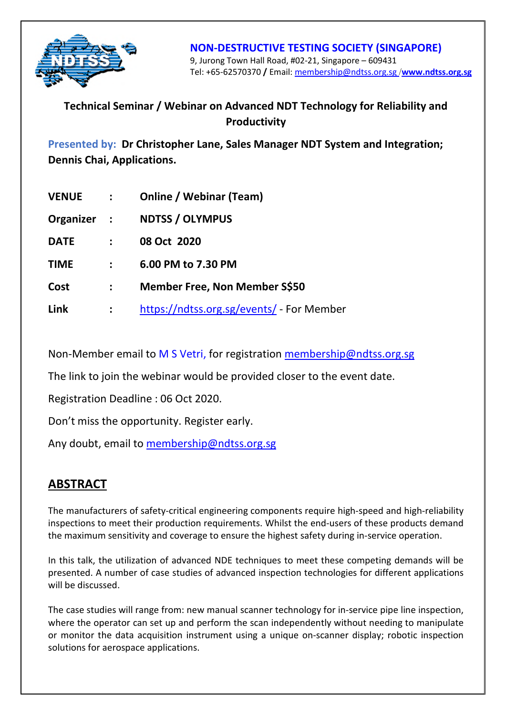

#### **NON-DESTRUCTIVE TESTING SOCIETY (SINGAPORE)**  9, Jurong Town Hall Road, #02-21, Singapore – 609431 Tel: +65-62570370 **/** Email: membership@ndtss.org.sg /**www.ndtss.org.sg**

## **Technical Seminar / Webinar on Advanced NDT Technology for Reliability and Productivity**

**Presented by: Dr Christopher Lane, Sales Manager NDT System and Integration; Dennis Chai, Applications.**

| <b>VENUE</b> | $\sim 10^{-11}$ | <b>Online / Webinar (Team)</b>            |
|--------------|-----------------|-------------------------------------------|
| Organizer :  |                 | <b>NDTSS / OLYMPUS</b>                    |
| <b>DATE</b>  |                 | 08 Oct 2020                               |
| <b>TIME</b>  | $\mathbf{L}$    | 6.00 PM to 7.30 PM                        |
| Cost         | $\sim$ $\sim$   | <b>Member Free, Non Member S\$50</b>      |
| Link         |                 | https://ndtss.org.sg/events/ - For Member |

Non-Member email to M S Vetri, for registration membership@ndtss.org.sg

The link to join the webinar would be provided closer to the event date.

Registration Deadline : 06 Oct 2020.

Don't miss the opportunity. Register early.

Any doubt, email to membership@ndtss.org.sg

## **ABSTRACT**

The manufacturers of safety-critical engineering components require high-speed and high-reliability inspections to meet their production requirements. Whilst the end-users of these products demand the maximum sensitivity and coverage to ensure the highest safety during in-service operation.

In this talk, the utilization of advanced NDE techniques to meet these competing demands will be presented. A number of case studies of advanced inspection technologies for different applications will be discussed.

The case studies will range from: new manual scanner technology for in-service pipe line inspection, where the operator can set up and perform the scan independently without needing to manipulate or monitor the data acquisition instrument using a unique on-scanner display; robotic inspection solutions for aerospace applications.